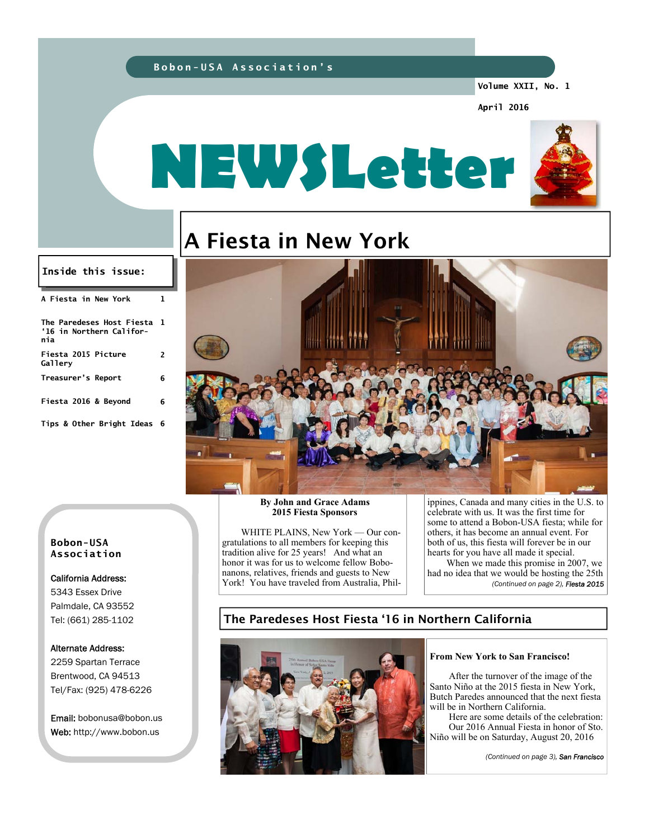### **Bobon-USA Association's**

**Volume XXII, No. 1** 

**April 2016** 



# A Fiesta in New York

#### **Inside this issue:**

| A Fiesta in New York                                           | ı |
|----------------------------------------------------------------|---|
| The Paredeses Host Fiesta 1<br>'16 in Northern Califor-<br>nia |   |
| Fiesta 2015 Picture<br>Gallerv                                 | 2 |
| Treasurer's Report                                             | 6 |
| Fiesta 2016 & Beyond                                           | 6 |
| Tips & Other Bright Ideas 6                                    |   |



#### **Bobon-USA Association**

# California Address: 5343 Essex Drive Palmdale, CA 93552 Tel: (661) 285-1102

# Alternate Address:

2259 Spartan Terrace Brentwood, CA 94513 Tel/Fax: (925) 478-6226

Email: bobonusa@bobon.us Web: http://www.bobon.us

#### **By John and Grace Adams 2015 Fiesta Sponsors**

 WHITE PLAINS, New York — Our congratulations to all members for keeping this tradition alive for 25 years! And what an honor it was for us to welcome fellow Bobonanons, relatives, friends and guests to New York! You have traveled from Australia, Phil-

ippines, Canada and many cities in the U.S. to celebrate with us. It was the first time for some to attend a Bobon-USA fiesta; while for others, it has become an annual event. For both of us, this fiesta will forever be in our hearts for you have all made it special.

 When we made this promise in 2007, we had no idea that we would be hosting the 25th *(Continued on page 2), Fiesta 2015* 

# The Paredeses Host Fiesta '16 in Northern California



#### **From New York to San Francisco!**

 After the turnover of the image of the Santo Niño at the 2015 fiesta in New York, Butch Paredes announced that the next fiesta will be in Northern California.

 Here are some details of the celebration: Our 2016 Annual Fiesta in honor of Sto. Niño will be on Saturday, August 20, 2016

*(Continued on page 3), San Francisco*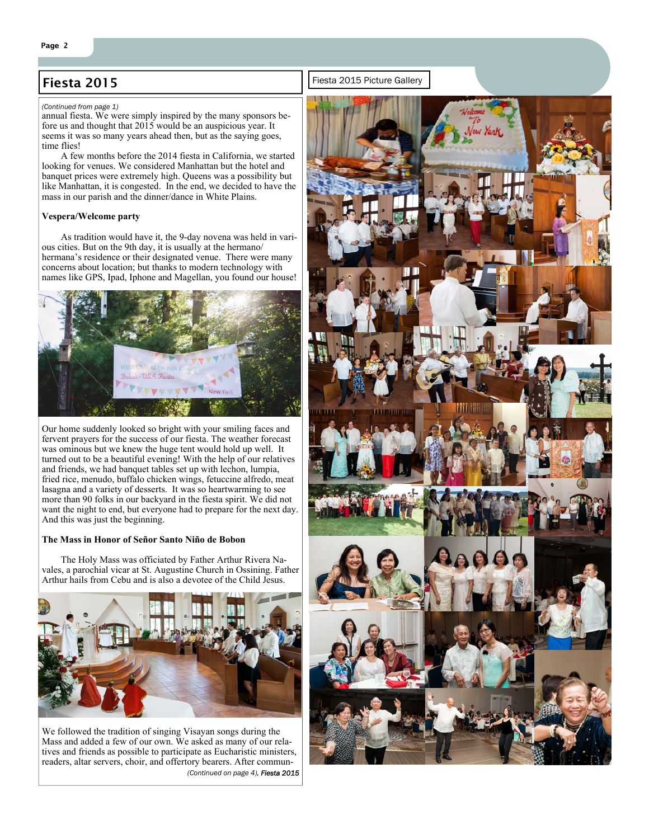# Fiesta 2015 **Fiesta 2015 Fiesta 2015** Picture Gallery

#### *(Continued from page 1)*

annual fiesta. We were simply inspired by the many sponsors before us and thought that 2015 would be an auspicious year. It seems it was so many years ahead then, but as the saying goes, time flies!

 A few months before the 2014 fiesta in California, we started looking for venues. We considered Manhattan but the hotel and banquet prices were extremely high. Queens was a possibility but like Manhattan, it is congested. In the end, we decided to have the mass in our parish and the dinner/dance in White Plains.

#### **Vespera/Welcome party**

 As tradition would have it, the 9-day novena was held in various cities. But on the 9th day, it is usually at the hermano/ hermana's residence or their designated venue. There were many concerns about location; but thanks to modern technology with names like GPS, Ipad, Iphone and Magellan, you found our house!



Our home suddenly looked so bright with your smiling faces and fervent prayers for the success of our fiesta. The weather forecast was ominous but we knew the huge tent would hold up well. It turned out to be a beautiful evening! With the help of our relatives and friends, we had banquet tables set up with lechon, lumpia, fried rice, menudo, buffalo chicken wings, fetuccine alfredo, meat lasagna and a variety of desserts. It was so heartwarming to see more than 90 folks in our backyard in the fiesta spirit. We did not want the night to end, but everyone had to prepare for the next day. And this was just the beginning.

#### **The Mass in Honor of Señor Santo Niño de Bobon**

 The Holy Mass was officiated by Father Arthur Rivera Navales, a parochial vicar at St. Augustine Church in Ossining. Father Arthur hails from Cebu and is also a devotee of the Child Jesus.



We followed the tradition of singing Visayan songs during the Mass and added a few of our own. We asked as many of our relatives and friends as possible to participate as Eucharistic ministers, readers, altar servers, choir, and offertory bearers. After commun- *(Continued on page 4), Fiesta 2015*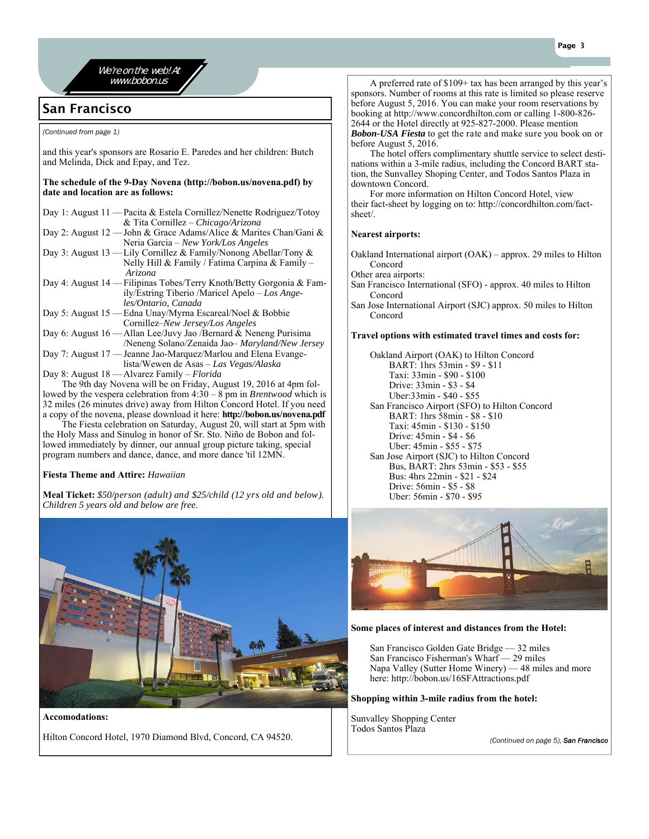

We're on the web! At

# San Francisco

*(Continued from page 1)* 

and this year's sponsors are Rosario E. Paredes and her children: Butch and Melinda, Dick and Epay, and Tez.

#### **The schedule of the 9-Day Novena (http://bobon.us/novena.pdf) by date and location are as follows:**

| Day 1: August 11 — Pacita & Estela Cornillez/Nenette Rodriguez/Totoy      |
|---------------------------------------------------------------------------|
| & Tita Cornillez – Chicago/Arizona                                        |
| Day 2: August 12 — John & Grace Adams/Alice & Marites Chan/Gani &         |
| Neria Garcia – New York/Los Angeles                                       |
| Day 3: August 13 — Lily Cornillez & Family/Nonong Abellar/Tony &          |
| Nelly Hill & Family / Fatima Carpina & Family –                           |
| Arizona                                                                   |
| Day 4: August 14 — Filipinas Tobes/Terry Knoth/Betty Gorgonia & Fam-      |
| ily/Estring Tiberio /Maricel Apelo – Los Ange-                            |
| les/Ontario, Canada                                                       |
| Day 5: August 15 — Edna Unay/Myrna Escareal/Noel & Bobbie                 |
| Cornillez–New Jersey/Los Angeles                                          |
| Day 6: August $16 -$ Allan Lee/Juvy Jao /Bernard & Neneng Purisima        |
| /Neneng Solano/Zenaida Jao– Maryland/New Jersey                           |
| Day 7: August 17 — Jeanne Jao-Marquez/Marlou and Elena Evange-            |
| lista/Wewen de Asas – Las Vegas/Alaska                                    |
| Day 8: August 18 — Alvarez Family – Florida                               |
| The 9th day Novena will be on Friday August 19, 2016 at $\lambda$ pm fol- |

th day Novena will be on Friday, August 19, 2016 at 4pm fol lowed by the vespera celebration from 4:30 – 8 pm in *Brentwood* which is 32 miles (26 minutes drive) away from Hilton Concord Hotel. If you need a copy of the novena, please download it here: **http://bobon.us/novena.pdf** 

 The Fiesta celebration on Saturday, August 20, will start at 5pm with the Holy Mass and Sinulog in honor of Sr. Sto. Niño de Bobon and followed immediately by dinner, our annual group picture taking, special program numbers and dance, dance, and more dance 'til 12MN.

#### **Fiesta Theme and Attire:** *Hawaiian*

**Meal Ticket:** *\$50/person (adult) and \$25/child (12 yrs old and below). Children 5 years old and below are free*.



**Accomodations:**  Hilton Concord Hotel, 1970 Diamond Blvd, Concord, CA 94520.

**WWW.bobon.us** A preferred rate of \$109+ tax has been arranged by this year's sponsors. Number of rooms at this rate is limited so please reserve before August 5, 2016. You can make your room reservations by booking at http://www.concordhilton.com or calling 1-800-826- 2644 or the Hotel directly at 925-827-2000. Please mention *Bobon-USA Fiesta* to get the rate and make sure you book on or before August 5, 2016.

 The hotel offers complimentary shuttle service to select destinations within a 3-mile radius, including the Concord BART station, the Sunvalley Shoping Center, and Todos Santos Plaza in downtown Concord.

 For more information on Hilton Concord Hotel, view their fact-sheet by logging on to: http://concordhilton.com/factsheet/.

#### **Nearest airports:**

Oakland International airport (OAK) – approx. 29 miles to Hilton Concord

Other area airports:

San Francisco International (SFO) - approx. 40 miles to Hilton Concord

San Jose International Airport (SJC) approx. 50 miles to Hilton Concord

#### **Travel options with estimated travel times and costs for:**

 Oakland Airport (OAK) to Hilton Concord BART: 1hrs 53min - \$9 - \$11 Taxi: 33min - \$90 - \$100 Drive: 33min - \$3 - \$4 Uber:33min - \$40 - \$55 San Francisco Airport (SFO) to Hilton Concord BART: 1hrs 58min - \$8 - \$10 Taxi: 45min - \$130 - \$150 Drive: 45min - \$4 - \$6 Uber: 45min - \$55 - \$75 San Jose Airport (SJC) to Hilton Concord Bus, BART: 2hrs 53min - \$53 - \$55 Bus: 4hrs 22min - \$21 - \$24 Drive: 56min - \$5 - \$8 Uber: 56min - \$70 - \$95



#### **Some places of interest and distances from the Hotel:**

 San Francisco Golden Gate Bridge — 32 miles San Francisco Fisherman's Wharf — 29 miles Napa Valley (Sutter Home Winery) — 48 miles and more here: http://bobon.us/16SFAttractions.pdf

#### **Shopping within 3-mile radius from the hotel:**

Sunvalley Shopping Center Todos Santos Plaza

*(Continued on page 5), San Francisco*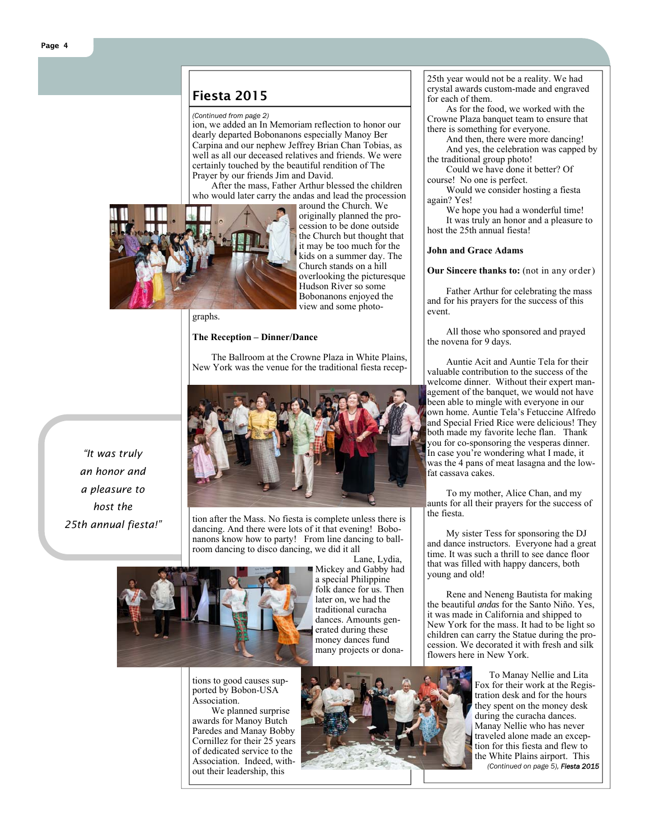# Fiesta 2015

#### *(Continued from page 2)*

ion, we added an In Memoriam reflection to honor our dearly departed Bobonanons especially Manoy Ber Carpina and our nephew Jeffrey Brian Chan Tobias, as well as all our deceased relatives and friends. We were certainly touched by the beautiful rendition of The Prayer by our friends Jim and David.

 After the mass, Father Arthur blessed the children who would later carry the andas and lead the procession



around the Church. We originally planned the procession to be done outside the Church but thought that it may be too much for the kids on a summer day. The Church stands on a hill overlooking the picturesque Hudson River so some Bobonanons enjoyed the view and some photo-

#### graphs.

#### **The Reception – Dinner/Dance**

 The Ballroom at the Crowne Plaza in White Plains, New York was the venue for the traditional fiesta recep-



tion after the Mass. No fiesta is complete unless there is dancing. And there were lots of it that evening! Bobonanons know how to party! From line dancing to ballroom dancing to disco dancing, we did it all



Mickey and Gabby had a special Philippine folk dance for us. Then later on, we had the traditional curacha dances. Amounts generated during these money dances fund many projects or dona-

Lane, Lydia,

tions to good causes supported by Bobon-USA Association.

 We planned surprise awards for Manoy Butch Paredes and Manay Bobby Cornillez for their 25 years of dedicated service to the Association. Indeed, without their leadership, this



25th year would not be a reality. We had crystal awards custom-made and engraved for each of them.

 As for the food, we worked with the Crowne Plaza banquet team to ensure that there is something for everyone.

 And then, there were more dancing! And yes, the celebration was capped by the traditional group photo!

 Could we have done it better? Of course! No one is perfect.

 Would we consider hosting a fiesta again? Yes!

We hope you had a wonderful time! It was truly an honor and a pleasure to host the 25th annual fiesta!

#### **John and Grace Adams**

#### **Our Sincere thanks to:** (not in any order)

 Father Arthur for celebrating the mass and for his prayers for the success of this event.

 All those who sponsored and prayed the novena for 9 days.

 Auntie Acit and Auntie Tela for their valuable contribution to the success of the welcome dinner. Without their expert management of the banquet, we would not have been able to mingle with everyone in our own home. Auntie Tela's Fetuccine Alfredo and Special Fried Rice were delicious! They both made my favorite leche flan. Thank you for co-sponsoring the vesperas dinner. In case you're wondering what I made, it was the 4 pans of meat lasagna and the lowfat cassava cakes.

 To my mother, Alice Chan, and my aunts for all their prayers for the success of the fiesta.

 My sister Tess for sponsoring the DJ and dance instructors. Everyone had a great time. It was such a thrill to see dance floor that was filled with happy dancers, both young and old!

 Rene and Neneng Bautista for making the beautiful *andas* for the Santo Niño. Yes, it was made in California and shipped to New York for the mass. It had to be light so children can carry the Statue during the procession. We decorated it with fresh and silk flowers here in New York.

> To Manay Nellie and Lita Fox for their work at the Registration desk and for the hours they spent on the money desk during the curacha dances. Manay Nellie who has never traveled alone made an exception for this fiesta and flew to the White Plains airport. This

*(Continued on page 5), Fiesta 2015*

*"It was truly an honor and a pleasure to host the 25th annual fiesta!"* 

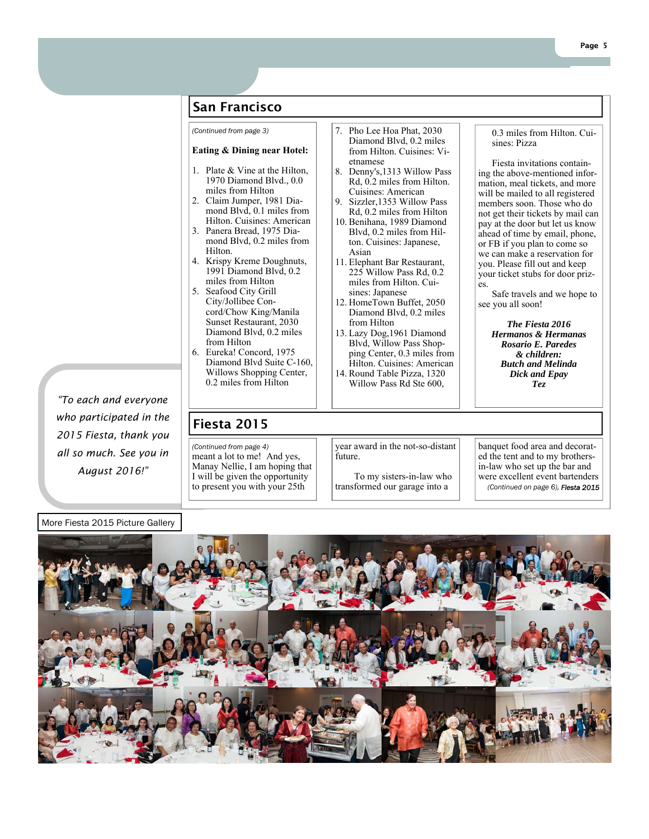# San Francisco

*(Continued from page 3)* 7. Pho Lee Hoa Phat, 2030

#### **Eating & Dining near Hotel:**

- 1. Plate & Vine at the Hilton, 1970 Diamond Blvd., 0.0 miles from Hilton
- 2. Claim Jumper, 1981 Diamond Blvd, 0.1 miles from Hilton. Cuisines: American
- 3. Panera Bread, 1975 Diamond Blvd, 0.2 miles from Hilton.
- 4. Krispy Kreme Doughnuts, 1991 Diamond Blvd, 0.2 miles from Hilton
- 5. Seafood City Grill City/Jollibee Concord/Chow King/Manila Sunset Restaurant, 2030 Diamond Blvd, 0.2 miles from Hilton
- 6. Eureka! Concord, 1975 Diamond Blvd Suite C-160, Willows Shopping Center, 0.2 miles from Hilton

# Fiesta 2015

meant a lot to me! And yes, Manay Nellie, I am hoping that I will be given the opportunity to present you with your 25th *(Continued from page 4)* 

year award in the not-so-distant future.

Diamond Blvd, 0.2 miles from Hilton. Cuisines: Vi-

8. Denny's,1313 Willow Pass Rd, 0.2 miles from Hilton. Cuisines: American 9. Sizzler,1353 Willow Pass Rd, 0.2 miles from Hilton 10. Benihana, 1989 Diamond Blvd, 0.2 miles from Hilton. Cuisines: Japanese,

11. Elephant Bar Restaurant,  $225$  Willow Pass Rd, 0.2 miles from Hilton. Cuisines: Japanese 12. HomeTown Buffet, 2050 Diamond Blvd, 0.2 miles

13. Lazy Dog,1961 Diamond Blvd, Willow Pass Shopping Center, 0.3 miles from Hilton. Cuisines: American 14. Round Table Pizza, 1320 Willow Pass Rd Ste 600,

etnamese

Asian

from Hilton

 To my sisters-in-law who transformed our garage into a

banquet food area and decorated the tent and to my brothersin-law who set up the bar and were excellent event bartenders *(Continued on page 6), Fiesta 2015*



#### 0.3 miles from Hilton. Cuisines: Pizza

 Fiesta invitations containing the above-mentioned information, meal tickets, and more will be mailed to all registered members soon. Those who do not get their tickets by mail can pay at the door but let us know ahead of time by email, phone, or FB if you plan to come so we can make a reservation for you. Please fill out and keep your ticket stubs for door prizes.

 Safe travels and we hope to see you all soon!

> *The Fiesta 2016 Hermanos & Hermanas Rosario E. Paredes & children: Butch and Melinda Dick and Epay Tez*

More Fiesta 2015 Picture Gallery